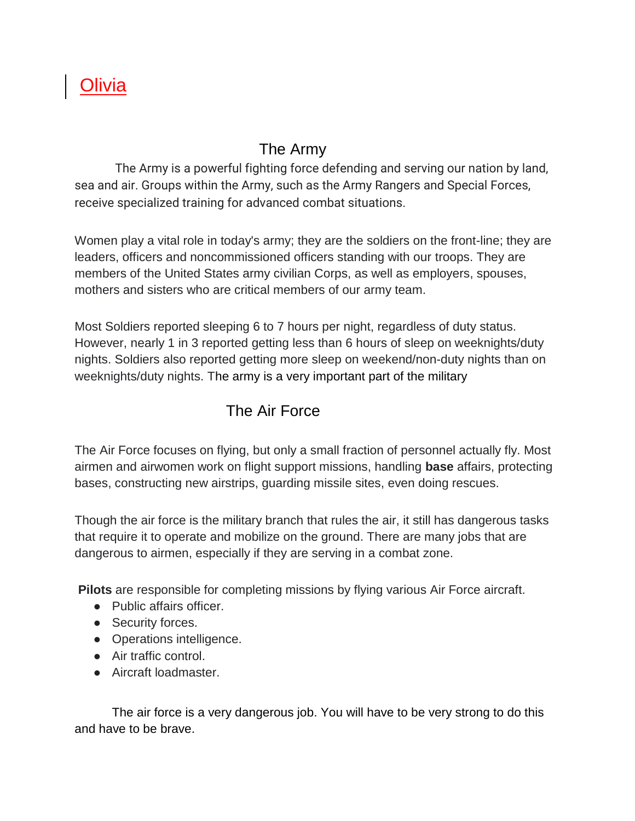## Olivia

## The Army

The Army is a powerful fighting force defending and serving our nation by land, sea and air. Groups within the Army, such as the Army Rangers and Special Forces, receive specialized training for advanced combat situations.

Women play a vital role in today's army; they are the soldiers on the front-line; they are leaders, officers and noncommissioned officers standing with our troops. They are members of the United States army civilian Corps, as well as employers, spouses, mothers and sisters who are critical members of our army team.

Most Soldiers reported sleeping 6 to 7 hours per night, regardless of duty status. However, nearly 1 in 3 reported getting less than 6 hours of sleep on weeknights/duty nights. Soldiers also reported getting more sleep on weekend/non-duty nights than on weeknights/duty nights. The army is a very important part of the military

## The Air Force

The Air Force focuses on flying, but only a small fraction of personnel actually fly. Most airmen and airwomen work on flight support missions, handling **base** affairs, protecting bases, constructing new airstrips, guarding missile sites, even doing rescues.

Though the air force is the military branch that rules the air, it still has dangerous tasks that require it to operate and mobilize on the ground. There are many jobs that are dangerous to airmen, especially if they are serving in a combat zone.

**Pilots** are responsible for completing missions by flying various Air Force aircraft.

- Public affairs officer.
- Security forces.
- Operations intelligence.
- Air traffic control.
- Aircraft loadmaster.

The air force is a very dangerous job. You will have to be very strong to do this and have to be brave.